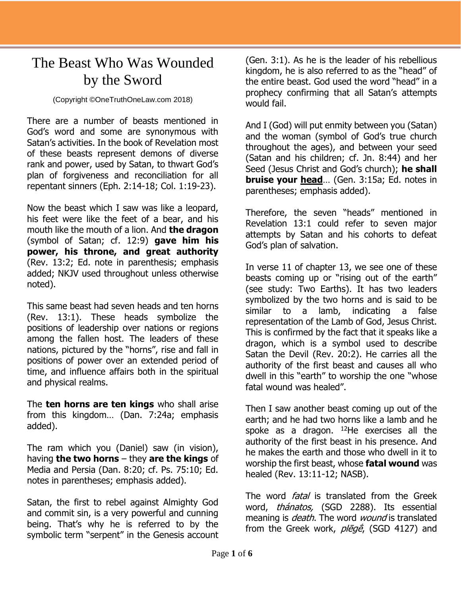## The Beast Who Was Wounded by the Sword

## (Copyright ©OneTruthOneLaw.com 2018)

There are a number of beasts mentioned in God's word and some are synonymous with Satan's activities. In the book of Revelation most of these beasts represent demons of diverse rank and power, used by Satan, to thwart God's plan of forgiveness and reconciliation for all repentant sinners (Eph. 2:14-18; Col. 1:19-23).

Now the beast which I saw was like a leopard, his feet were like the feet of a bear, and his mouth like the mouth of a lion. And **the dragon** (symbol of Satan; cf. 12:9) **gave him his power, his throne, and great authority** (Rev. 13:2; Ed. note in parenthesis; emphasis added; NKJV used throughout unless otherwise noted).

This same beast had seven heads and ten horns (Rev. 13:1). These heads symbolize the positions of leadership over nations or regions among the fallen host. The leaders of these nations, pictured by the "horns", rise and fall in positions of power over an extended period of time, and influence affairs both in the spiritual and physical realms.

The **ten horns are ten kings** who shall arise from this kingdom… (Dan. 7:24a; emphasis added).

The ram which you (Daniel) saw (in vision), having **the two horns** – they **are the kings** of Media and Persia (Dan. 8:20; cf. Ps. 75:10; Ed. notes in parentheses; emphasis added).

Satan, the first to rebel against Almighty God and commit sin, is a very powerful and cunning being. That's why he is referred to by the symbolic term "serpent" in the Genesis account

(Gen. 3:1). As he is the leader of his rebellious kingdom, he is also referred to as the "head" of the entire beast. God used the word "head" in a prophecy confirming that all Satan's attempts would fail.

And I (God) will put enmity between you (Satan) and the woman (symbol of God's true church throughout the ages), and between your seed (Satan and his children; cf. Jn. 8:44) and her Seed (Jesus Christ and God's church); **he shall bruise your head**… (Gen. 3:15a; Ed. notes in parentheses; emphasis added).

Therefore, the seven "heads" mentioned in Revelation 13:1 could refer to seven major attempts by Satan and his cohorts to defeat God's plan of salvation.

In verse 11 of chapter 13, we see one of these beasts coming up or "rising out of the earth" (see study: Two Earths). It has two leaders symbolized by the two horns and is said to be similar to a lamb, indicating a false representation of the Lamb of God, Jesus Christ. This is confirmed by the fact that it speaks like a dragon, which is a symbol used to describe Satan the Devil (Rev. 20:2). He carries all the authority of the first beast and causes all who dwell in this "earth" to worship the one "whose fatal wound was healed".

Then I saw another beast coming up out of the earth; and he had two horns like a lamb and he spoke as a dragon.  $12$ He exercises all the authority of the first beast in his presence. And he makes the earth and those who dwell in it to worship the first beast, whose **fatal wound** was healed (Rev. 13:11-12; NASB).

The word *fatal* is translated from the Greek word, thánatos, (SGD 2288). Its essential meaning is *death*. The word *wound* is translated from the Greek work, plēgē, (SGD 4127) and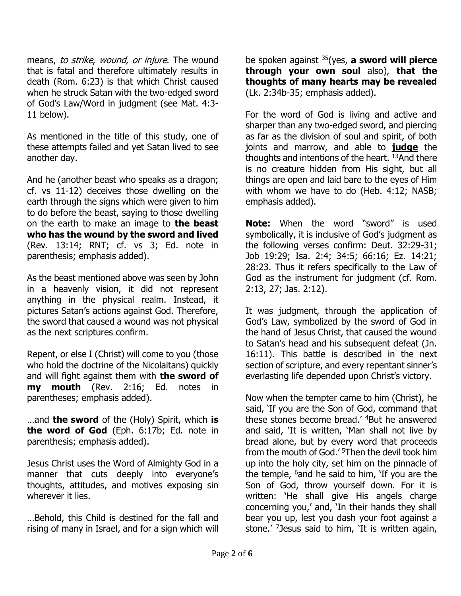means, to strike, wound, or injure. The wound that is fatal and therefore ultimately results in death (Rom. 6:23) is that which Christ caused when he struck Satan with the two-edged sword of God's Law/Word in judgment (see Mat. 4:3- 11 below).

As mentioned in the title of this study, one of these attempts failed and yet Satan lived to see another day.

And he (another beast who speaks as a dragon; cf. vs 11-12) deceives those dwelling on the earth through the signs which were given to him to do before the beast, saying to those dwelling on the earth to make an image to **the beast who has the wound by the sword and lived** (Rev. 13:14; RNT; cf. vs 3; Ed. note in parenthesis; emphasis added).

As the beast mentioned above was seen by John in a heavenly vision, it did not represent anything in the physical realm. Instead, it pictures Satan's actions against God. Therefore, the sword that caused a wound was not physical as the next scriptures confirm.

Repent, or else I (Christ) will come to you (those who hold the doctrine of the Nicolaitans) quickly and will fight against them with **the sword of my mouth** (Rev. 2:16; Ed. notes in parentheses; emphasis added).

…and **the sword** of the (Holy) Spirit, which **is the word of God** (Eph. 6:17b; Ed. note in parenthesis; emphasis added).

Jesus Christ uses the Word of Almighty God in a manner that cuts deeply into everyone's thoughts, attitudes, and motives exposing sin wherever it lies.

…Behold, this Child is destined for the fall and rising of many in Israel, and for a sign which will be spoken against <sup>35</sup>(yes, **a sword will pierce through your own soul** also), **that the thoughts of many hearts may be revealed** (Lk. 2:34b-35; emphasis added).

For the word of God is living and active and sharper than any two-edged sword, and piercing as far as the division of soul and spirit, of both joints and marrow, and able to **judge** the thoughts and intentions of the heart.  $13$ And there is no creature hidden from His sight, but all things are open and laid bare to the eyes of Him with whom we have to do (Heb. 4:12; NASB; emphasis added).

**Note:** When the word "sword" is used symbolically, it is inclusive of God's judgment as the following verses confirm: Deut. 32:29-31; Job 19:29; Isa. 2:4; 34:5; 66:16; Ez. 14:21; 28:23. Thus it refers specifically to the Law of God as the instrument for judgment (cf. Rom. 2:13, 27; Jas. 2:12).

It was judgment, through the application of God's Law, symbolized by the sword of God in the hand of Jesus Christ, that caused the wound to Satan's head and his subsequent defeat (Jn. 16:11). This battle is described in the next section of scripture, and every repentant sinner's everlasting life depended upon Christ's victory.

Now when the tempter came to him (Christ), he said, 'If you are the Son of God, command that these stones become bread.' <sup>4</sup>But he answered and said, 'It is written, 'Man shall not live by bread alone, but by every word that proceeds from the mouth of God.' <sup>5</sup>Then the devil took him up into the holy city, set him on the pinnacle of the temple,  $6$  and he said to him, 'If you are the Son of God, throw yourself down. For it is written: 'He shall give His angels charge concerning you,' and, 'In their hands they shall bear you up, lest you dash your foot against a stone.' <sup>7</sup> Jesus said to him, 'It is written again,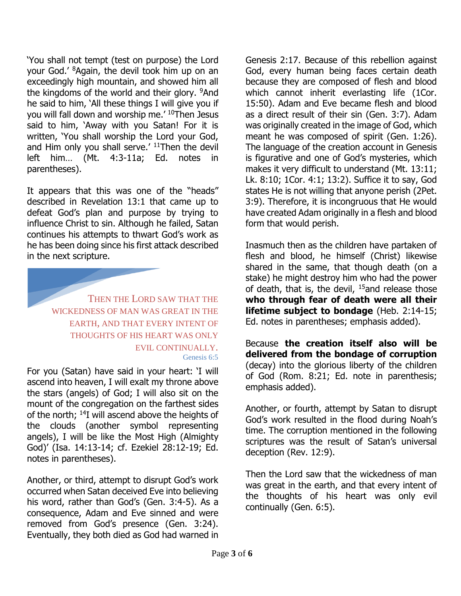'You shall not tempt (test on purpose) the Lord your God.' <sup>8</sup>Again, the devil took him up on an exceedingly high mountain, and showed him all the kingdoms of the world and their glory. <sup>9</sup>And he said to him, 'All these things I will give you if you will fall down and worship me.' <sup>10</sup>Then Jesus said to him, `Away with you Satan! For it is written, 'You shall worship the Lord your God, and Him only you shall serve.' <sup>11</sup>Then the devil left him… (Mt. 4:3-11a; Ed. notes in parentheses).

It appears that this was one of the "heads" described in Revelation 13:1 that came up to defeat God's plan and purpose by trying to influence Christ to sin. Although he failed, Satan continues his attempts to thwart God's work as he has been doing since his first attack described in the next scripture.



For you (Satan) have said in your heart: 'I will ascend into heaven, I will exalt my throne above the stars (angels) of God; I will also sit on the mount of the congregation on the farthest sides of the north; <sup>14</sup>I will ascend above the heights of the clouds (another symbol representing angels), I will be like the Most High (Almighty God)' (Isa. 14:13-14; cf. Ezekiel 28:12-19; Ed. notes in parentheses).

Another, or third, attempt to disrupt God's work occurred when Satan deceived Eve into believing his word, rather than God's (Gen. 3:4-5). As a consequence, Adam and Eve sinned and were removed from God's presence (Gen. 3:24). Eventually, they both died as God had warned in

Genesis 2:17. Because of this rebellion against God, every human being faces certain death because they are composed of flesh and blood which cannot inherit everlasting life (1Cor. 15:50). Adam and Eve became flesh and blood as a direct result of their sin (Gen. 3:7). Adam was originally created in the image of God, which meant he was composed of spirit (Gen. 1:26). The language of the creation account in Genesis is figurative and one of God's mysteries, which makes it very difficult to understand (Mt. 13:11; Lk. 8:10; 1Cor. 4:1; 13:2). Suffice it to say, God states He is not willing that anyone perish (2Pet. 3:9). Therefore, it is incongruous that He would have created Adam originally in a flesh and blood form that would perish.

Inasmuch then as the children have partaken of flesh and blood, he himself (Christ) likewise shared in the same, that though death (on a stake) he might destroy him who had the power of death, that is, the devil,  $15$  and release those **who through fear of death were all their lifetime subject to bondage** (Heb. 2:14-15; Ed. notes in parentheses; emphasis added).

Because **the creation itself also will be delivered from the bondage of corruption** (decay) into the glorious liberty of the children of God (Rom. 8:21; Ed. note in parenthesis; emphasis added).

Another, or fourth, attempt by Satan to disrupt God's work resulted in the flood during Noah's time. The corruption mentioned in the following scriptures was the result of Satan's universal deception (Rev. 12:9).

Then the Lord saw that the wickedness of man was great in the earth, and that every intent of the thoughts of his heart was only evil continually (Gen. 6:5).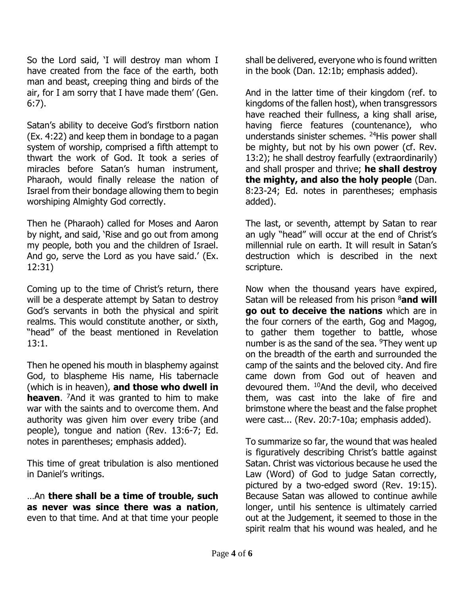So the Lord said, 'I will destroy man whom I have created from the face of the earth, both man and beast, creeping thing and birds of the air, for I am sorry that I have made them' (Gen. 6:7).

Satan's ability to deceive God's firstborn nation (Ex. 4:22) and keep them in bondage to a pagan system of worship, comprised a fifth attempt to thwart the work of God. It took a series of miracles before Satan's human instrument, Pharaoh, would finally release the nation of Israel from their bondage allowing them to begin worshiping Almighty God correctly.

Then he (Pharaoh) called for Moses and Aaron by night, and said, 'Rise and go out from among my people, both you and the children of Israel. And go, serve the Lord as you have said.' (Ex. 12:31)

Coming up to the time of Christ's return, there will be a desperate attempt by Satan to destroy God's servants in both the physical and spirit realms. This would constitute another, or sixth, "head" of the beast mentioned in Revelation 13:1.

Then he opened his mouth in blasphemy against God, to blaspheme His name, His tabernacle (which is in heaven), **and those who dwell in heaven**. <sup>7</sup>And it was granted to him to make war with the saints and to overcome them. And authority was given him over every tribe (and people), tongue and nation (Rev. 13:6-7; Ed. notes in parentheses; emphasis added).

This time of great tribulation is also mentioned in Daniel's writings.

…An **there shall be a time of trouble, such as never was since there was a nation**, even to that time. And at that time your people shall be delivered, everyone who is found written in the book (Dan. 12:1b; emphasis added).

And in the latter time of their kingdom (ref. to kingdoms of the fallen host), when transgressors have reached their fullness, a king shall arise, having fierce features (countenance), who understands sinister schemes. <sup>24</sup>His power shall be mighty, but not by his own power (cf. Rev. 13:2); he shall destroy fearfully (extraordinarily) and shall prosper and thrive; **he shall destroy the mighty, and also the holy people** (Dan. 8:23-24; Ed. notes in parentheses; emphasis added).

The last, or seventh, attempt by Satan to rear an ugly "head" will occur at the end of Christ's millennial rule on earth. It will result in Satan's destruction which is described in the next scripture.

Now when the thousand years have expired, Satan will be released from his prison <sup>8</sup> and will **go out to deceive the nations** which are in the four corners of the earth, Gog and Magog, to gather them together to battle, whose number is as the sand of the sea. <sup>9</sup>They went up on the breadth of the earth and surrounded the camp of the saints and the beloved city. And fire came down from God out of heaven and devoured them. <sup>10</sup>And the devil, who deceived them, was cast into the lake of fire and brimstone where the beast and the false prophet were cast... (Rev. 20:7-10a; emphasis added).

To summarize so far, the wound that was healed is figuratively describing Christ's battle against Satan. Christ was victorious because he used the Law (Word) of God to judge Satan correctly, pictured by a two-edged sword (Rev. 19:15). Because Satan was allowed to continue awhile longer, until his sentence is ultimately carried out at the Judgement, it seemed to those in the spirit realm that his wound was healed, and he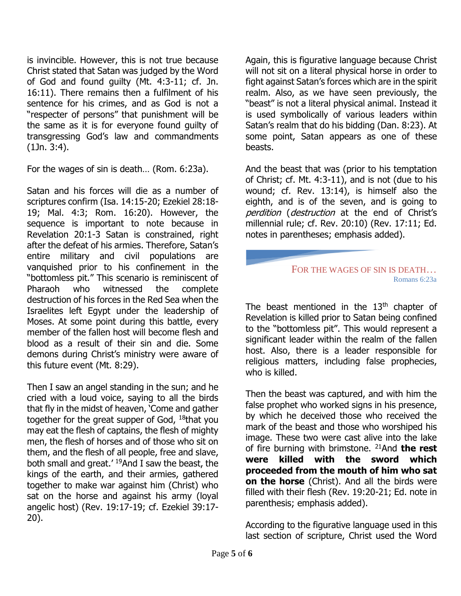is invincible. However, this is not true because Christ stated that Satan was judged by the Word of God and found guilty (Mt. 4:3-11; cf. Jn. 16:11). There remains then a fulfilment of his sentence for his crimes, and as God is not a "respecter of persons" that punishment will be the same as it is for everyone found guilty of transgressing God's law and commandments (1Jn. 3:4).

For the wages of sin is death… (Rom. 6:23a).

Satan and his forces will die as a number of scriptures confirm (Isa. 14:15-20; Ezekiel 28:18- 19; Mal. 4:3; Rom. 16:20). However, the sequence is important to note because in Revelation 20:1-3 Satan is constrained, right after the defeat of his armies. Therefore, Satan's entire military and civil populations are vanquished prior to his confinement in the "bottomless pit." This scenario is reminiscent of Pharaoh who witnessed the complete destruction of his forces in the Red Sea when the Israelites left Egypt under the leadership of Moses. At some point during this battle, every member of the fallen host will become flesh and blood as a result of their sin and die. Some demons during Christ's ministry were aware of this future event (Mt. 8:29).

Then I saw an angel standing in the sun; and he cried with a loud voice, saying to all the birds that fly in the midst of heaven, 'Come and gather together for the great supper of God,  $18$ that you may eat the flesh of captains, the flesh of mighty men, the flesh of horses and of those who sit on them, and the flesh of all people, free and slave, both small and great.' <sup>19</sup>And I saw the beast, the kings of the earth, and their armies, gathered together to make war against him (Christ) who sat on the horse and against his army (loyal angelic host) (Rev. 19:17-19; cf. Ezekiel 39:17- 20).

Again, this is figurative language because Christ will not sit on a literal physical horse in order to fight against Satan's forces which are in the spirit realm. Also, as we have seen previously, the "beast" is not a literal physical animal. Instead it is used symbolically of various leaders within Satan's realm that do his bidding (Dan. 8:23). At some point, Satan appears as one of these beasts.

And the beast that was (prior to his temptation of Christ; cf. Mt. 4:3-11), and is not (due to his wound; cf. Rev. 13:14), is himself also the eighth, and is of the seven, and is going to perdition (destruction at the end of Christ's millennial rule; cf. Rev. 20:10) (Rev. 17:11; Ed. notes in parentheses; emphasis added).

## FOR THE WAGES OF SIN IS DEATH… Romans 6:23a

The beast mentioned in the  $13<sup>th</sup>$  chapter of Revelation is killed prior to Satan being confined to the "bottomless pit". This would represent a significant leader within the realm of the fallen host. Also, there is a leader responsible for religious matters, including false prophecies, who is killed.

Then the beast was captured, and with him the false prophet who worked signs in his presence, by which he deceived those who received the mark of the beast and those who worshiped his image. These two were cast alive into the lake of fire burning with brimstone. <sup>21</sup>And **the rest were killed with the sword which proceeded from the mouth of him who sat on the horse** (Christ). And all the birds were filled with their flesh (Rev. 19:20-21; Ed. note in parenthesis; emphasis added).

According to the figurative language used in this last section of scripture, Christ used the Word